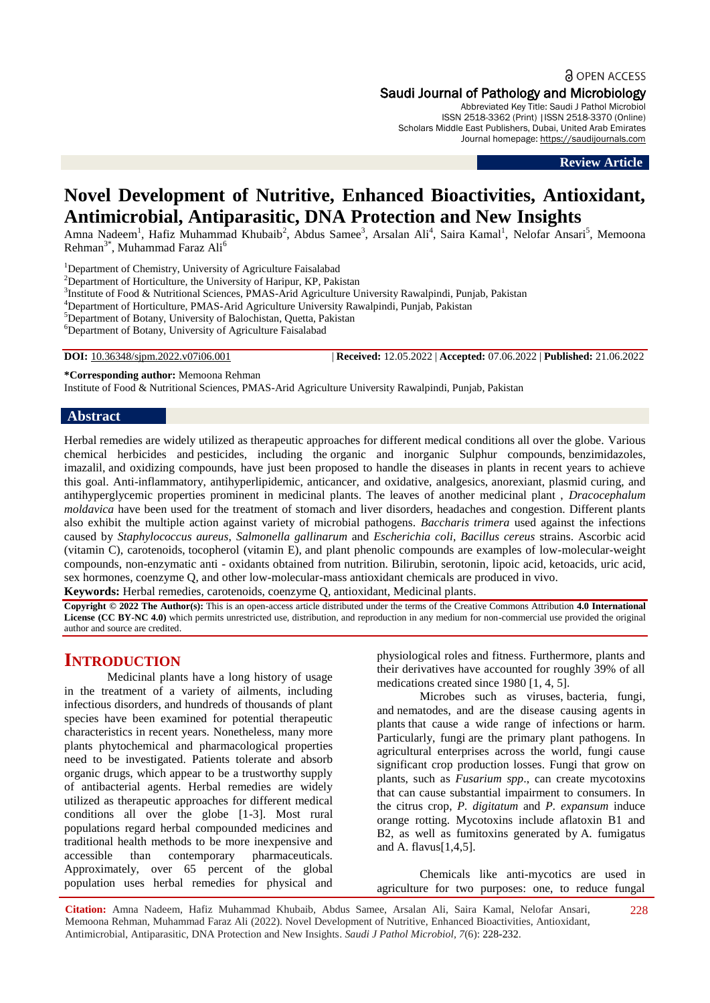a OPEN ACCESS

#### Saudi Journal of Pathology and Microbiology

Abbreviated Key Title: Saudi J Pathol Microbiol ISSN 2518-3362 (Print) |ISSN 2518-3370 (Online) Scholars Middle East Publishers, Dubai, United Arab Emirates Journal homepage: [https://saudijournals.com](https://saudijournals.com/sjpm)

**Review Article**

# **Novel Development of Nutritive, Enhanced Bioactivities, Antioxidant, Antimicrobial, Antiparasitic, DNA Protection and New Insights**

Amna Nadeem<sup>1</sup>, Hafiz Muhammad Khubaib<sup>2</sup>, Abdus Samee<sup>3</sup>, Arsalan Ali<sup>4</sup>, Saira Kamal<sup>1</sup>, Nelofar Ansari<sup>5</sup>, Memoona Rehman<sup>3\*</sup>, Muhammad Faraz Ali<sup>6</sup>

<sup>1</sup>Department of Chemistry, University of Agriculture Faisalabad

<sup>2</sup>Department of Horticulture, the University of Haripur, KP, Pakistan

<sup>3</sup>Institute of Food & Nutritional Sciences, PMAS-Arid Agriculture University Rawalpindi, Punjab, Pakistan

<sup>4</sup>Department of Horticulture, PMAS-Arid Agriculture University Rawalpindi, Punjab, Pakistan

<sup>5</sup>Department of Botany, University of Balochistan, Quetta, Pakistan

<sup>6</sup>Department of Botany, University of Agriculture Faisalabad

**DOI:** 10.36348/sjpm.2022.v07i06.001 | **Received:** 12.05.2022 | **Accepted:** 07.06.2022 | **Published:** 21.06.2022

**\*Corresponding author:** Memoona Rehman

Institute of Food & Nutritional Sciences, PMAS-Arid Agriculture University Rawalpindi, Punjab, Pakistan

#### **Abstract**

Herbal remedies are widely utilized as therapeutic approaches for different medical conditions all over the globe. Various chemical herbicides and pesticides, including the organic and inorganic Sulphur compounds, benzimidazoles, imazalil, and oxidizing compounds, have just been proposed to handle the diseases in plants in recent years to achieve this goal. Anti-inflammatory, antihyperlipidemic, anticancer, and oxidative, analgesics, anorexiant, plasmid curing, and antihyperglycemic properties prominent in medicinal plants. The leaves of another medicinal plant , *Dracocephalum moldavica* have been used for the treatment of stomach and liver disorders, headaches and congestion. Different plants also exhibit the multiple action against variety of microbial pathogens. *Baccharis trimera* used against the infections caused by *Staphylococcus aureus*, *Salmonella gallinarum* and *Escherichia coli*, *Bacillus cereus* strains. Ascorbic acid (vitamin C), carotenoids, tocopherol (vitamin E), and plant phenolic compounds are examples of low-molecular-weight compounds, non-enzymatic anti - oxidants obtained from nutrition. Bilirubin, serotonin, lipoic acid, ketoacids, uric acid, sex hormones, coenzyme Q, and other low-molecular-mass antioxidant chemicals are produced in vivo.

**Keywords:** Herbal remedies, carotenoids, coenzyme Q, antioxidant, Medicinal plants.

**Copyright © 2022 The Author(s):** This is an open-access article distributed under the terms of the Creative Commons Attribution **4.0 International License (CC BY-NC 4.0)** which permits unrestricted use, distribution, and reproduction in any medium for non-commercial use provided the original author and source are credited.

## **INTRODUCTION**

Medicinal plants have a long history of usage in the treatment of a variety of ailments, including infectious disorders, and hundreds of thousands of plant species have been examined for potential therapeutic characteristics in recent years. Nonetheless, many more plants phytochemical and pharmacological properties need to be investigated. Patients tolerate and absorb organic drugs, which appear to be a trustworthy supply of antibacterial agents. Herbal remedies are widely utilized as therapeutic approaches for different medical conditions all over the globe [1-3]. Most rural populations regard herbal compounded medicines and traditional health methods to be more inexpensive and accessible than contemporary pharmaceuticals. Approximately, over 65 percent of the global population uses herbal remedies for physical and

physiological roles and fitness. Furthermore, plants and their derivatives have accounted for roughly 39% of all medications created since 1980 [1, 4, 5].

Microbes such as viruses, bacteria, fungi, and nematodes, and are the disease causing agents in plants that cause a wide range of infections or harm. Particularly, fungi are the primary plant pathogens. In agricultural enterprises across the world, fungi cause significant crop production losses. Fungi that grow on plants, such as *Fusarium spp*., can create mycotoxins that can cause substantial impairment to consumers. In the citrus crop, *P. digitatum* and *P. expansum* induce orange rotting. Mycotoxins include aflatoxin B1 and B2, as well as fumitoxins generated by A. fumigatus and A. flavus[1,4,5].

Chemicals like anti-mycotics are used in agriculture for two purposes: one, to reduce fungal

228

**Citation:** Amna Nadeem, Hafiz Muhammad Khubaib, Abdus Samee, Arsalan Ali, Saira Kamal, Nelofar Ansari, Memoona Rehman, Muhammad Faraz Ali (2022). Novel Development of Nutritive, Enhanced Bioactivities, Antioxidant, Antimicrobial, Antiparasitic, DNA Protection and New Insights. *Saudi J Pathol Microbiol, 7*(6): 228-232.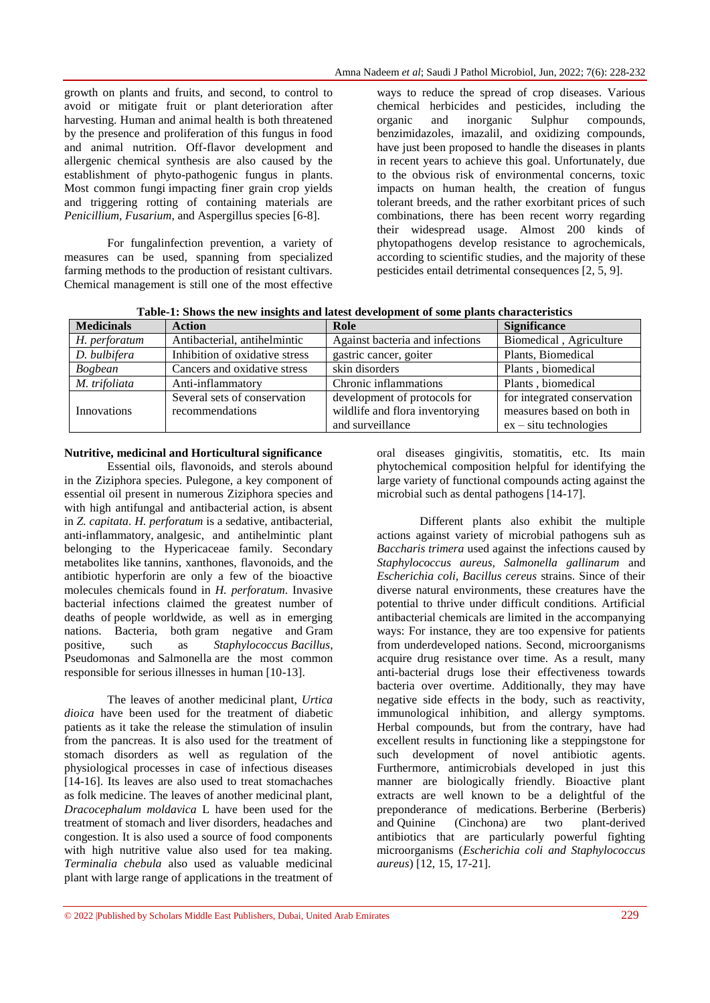growth on plants and fruits, and second, to control to avoid or mitigate fruit or plant deterioration after harvesting. Human and animal health is both threatened by the presence and proliferation of this fungus in food and animal nutrition. Off-flavor development and allergenic chemical synthesis are also caused by the establishment of phyto-pathogenic fungus in plants. Most common fungi impacting finer grain crop yields and triggering rotting of containing materials are *Penicillium, Fusarium*, and Aspergillus species [6-8].

For fungalinfection prevention, a variety of measures can be used, spanning from specialized farming methods to the production of resistant cultivars. Chemical management is still one of the most effective ways to reduce the spread of crop diseases. Various chemical herbicides and pesticides, including the organic and inorganic Sulphur compounds, benzimidazoles, imazalil, and oxidizing compounds, have just been proposed to handle the diseases in plants in recent years to achieve this goal. Unfortunately, due to the obvious risk of environmental concerns, toxic impacts on human health, the creation of fungus tolerant breeds, and the rather exorbitant prices of such combinations, there has been recent worry regarding their widespread usage. Almost 200 kinds of phytopathogens develop resistance to agrochemicals, according to scientific studies, and the majority of these pesticides entail detrimental consequences [2, 5, 9].

| Table-1: Shows the new insights and latest development of some plants characteristics |  |  |
|---------------------------------------------------------------------------------------|--|--|
|                                                                                       |  |  |

| <b>Medicinals</b> | <b>Action</b>                  | Role                            | <b>Significance</b>         |
|-------------------|--------------------------------|---------------------------------|-----------------------------|
| H. perforatum     | Antibacterial, antihelmintic   | Against bacteria and infections | Biomedical, Agriculture     |
| D. bulbifera      | Inhibition of oxidative stress | gastric cancer, goiter          | Plants, Biomedical          |
| <b>Bogbean</b>    | Cancers and oxidative stress   | skin disorders                  | Plants, biomedical          |
| M. trifoliata     | Anti-inflammatory              | Chronic inflammations           | Plants, biomedical          |
|                   | Several sets of conservation   | development of protocols for    | for integrated conservation |
| Innovations       | recommendations                | wildlife and flora inventorying | measures based on both in   |
|                   |                                | and surveillance                | $ex - situ$ technologies    |

#### **Nutritive, medicinal and Horticultural significance**

Essential oils, flavonoids, and sterols abound in the Ziziphora species. Pulegone, a key component of essential oil present in numerous Ziziphora species and with high antifungal and antibacterial action, is absent in *Z. capitata*. *H. perforatum* is a sedative, antibacterial, anti-inflammatory, analgesic, and antihelmintic plant belonging to the Hypericaceae family. Secondary metabolites like tannins, xanthones, flavonoids, and the antibiotic hyperforin are only a few of the bioactive molecules chemicals found in *H. perforatum*. Invasive bacterial infections claimed the greatest number of deaths of people worldwide, as well as in emerging nations. Bacteria, both gram negative and Gram positive, such as *Staphylococcus Bacillus*, Pseudomonas and Salmonella are the most common responsible for serious illnesses in human [10-13].

The leaves of another medicinal plant, *Urtica dioica* have been used for the treatment of diabetic patients as it take the release the stimulation of insulin from the pancreas. It is also used for the treatment of stomach disorders as well as regulation of the physiological processes in case of infectious diseases [14-16]. Its leaves are also used to treat stomachaches as folk medicine. The leaves of another medicinal plant, *Dracocephalum moldavica* L have been used for the treatment of stomach and liver disorders, headaches and congestion. It is also used a source of food components with high nutritive value also used for tea making. *Terminalia chebula* also used as valuable medicinal plant with large range of applications in the treatment of oral diseases gingivitis, stomatitis, etc. Its main phytochemical composition helpful for identifying the large variety of functional compounds acting against the microbial such as dental pathogens [14-17].

Different plants also exhibit the multiple actions against variety of microbial pathogens suh as *Baccharis trimera* used against the infections caused by *Staphylococcus aureus, Salmonella gallinarum* and *Escherichia coli, Bacillus cereus* strains. Since of their diverse natural environments, these creatures have the potential to thrive under difficult conditions. Artificial antibacterial chemicals are limited in the accompanying ways: For instance, they are too expensive for patients from underdeveloped nations. Second, microorganisms acquire drug resistance over time. As a result, many anti-bacterial drugs lose their effectiveness towards bacteria over overtime. Additionally, they may have negative side effects in the body, such as reactivity, immunological inhibition, and allergy symptoms. Herbal compounds, but from the contrary, have had excellent results in functioning like a steppingstone for such development of novel antibiotic agents. Furthermore, antimicrobials developed in just this manner are biologically friendly. Bioactive plant extracts are well known to be a delightful of the preponderance of medications. Berberine (Berberis) and Quinine (Cinchona) are two plant-derived antibiotics that are particularly powerful fighting microorganisms (*Escherichia coli and Staphylococcus aureus*) [12, 15, 17-21].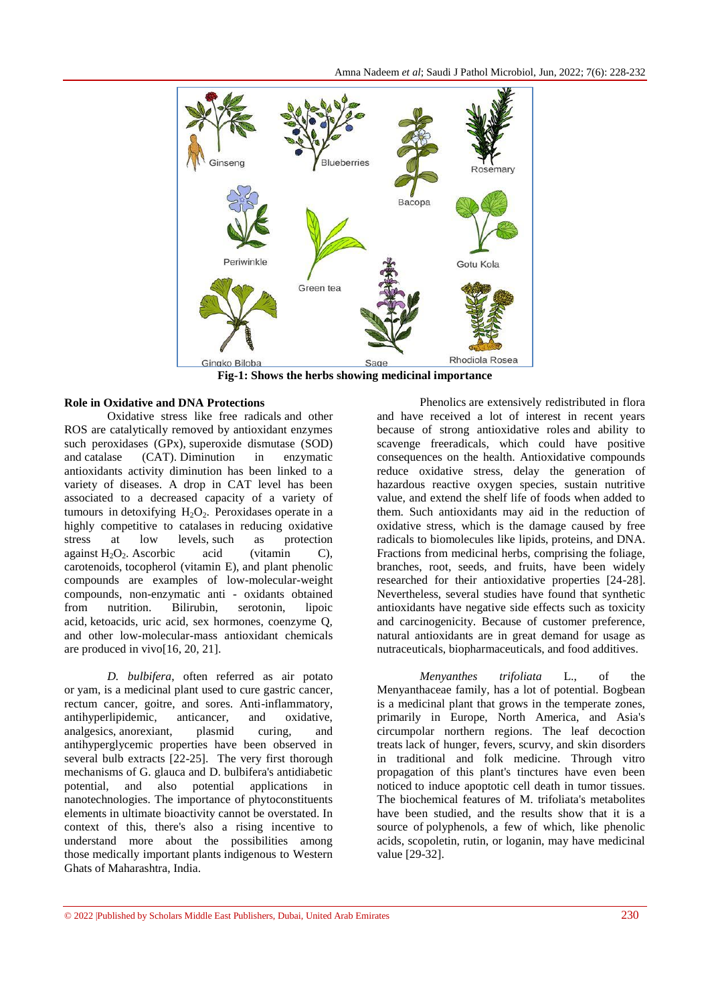

**Fig-1: Shows the herbs showing medicinal importance**

#### **Role in Oxidative and DNA Protections**

Oxidative stress like free radicals and other ROS are catalytically removed by antioxidant enzymes such peroxidases (GPx), superoxide dismutase (SOD) and catalase (CAT). Diminution in enzymatic antioxidants activity diminution has been linked to a variety of diseases. A drop in CAT level has been associated to a decreased capacity of a variety of tumours in detoxifying  $H_2O_2$ . Peroxidases operate in a highly competitive to catalases in reducing oxidative stress at low levels, such as protection against  $H_2O_2$ . Ascorbic acid (vitamin C), carotenoids, tocopherol (vitamin E), and plant phenolic compounds are examples of low-molecular-weight compounds, non-enzymatic anti - oxidants obtained from nutrition. Bilirubin, serotonin, lipoic acid, ketoacids, uric acid, sex hormones, coenzyme Q, and other low-molecular-mass antioxidant chemicals are produced in vivo[16, 20, 21].

*D. bulbifera*, often referred as air potato or yam, is a medicinal plant used to cure gastric cancer, rectum cancer, goitre, and sores. Anti-inflammatory, antihyperlipidemic, anticancer, and oxidative, analgesics, anorexiant, plasmid curing, and antihyperglycemic properties have been observed in several bulb extracts [22-25]. The very first thorough mechanisms of G. glauca and D. bulbifera's antidiabetic potential, and also potential applications in nanotechnologies. The importance of phytoconstituents elements in ultimate bioactivity cannot be overstated. In context of this, there's also a rising incentive to understand more about the possibilities among those medically important plants indigenous to Western Ghats of Maharashtra, India.

Phenolics are extensively redistributed in flora and have received a lot of interest in recent years because of strong antioxidative roles and ability to scavenge freeradicals, which could have positive consequences on the health. Antioxidative compounds reduce oxidative stress, delay the generation of hazardous reactive oxygen species, sustain nutritive value, and extend the shelf life of foods when added to them. Such antioxidants may aid in the reduction of oxidative stress, which is the damage caused by free radicals to biomolecules like lipids, proteins, and DNA. Fractions from medicinal herbs, comprising the foliage, branches, root, seeds, and fruits, have been widely researched for their antioxidative properties [24-28]. Nevertheless, several studies have found that synthetic antioxidants have negative side effects such as toxicity and carcinogenicity. Because of customer preference, natural antioxidants are in great demand for usage as nutraceuticals, biopharmaceuticals, and food additives.

*Menyanthes trifoliata* L., of the Menyanthaceae family, has a lot of potential. Bogbean is a medicinal plant that grows in the temperate zones, primarily in Europe, North America, and Asia's circumpolar northern regions. The leaf decoction treats lack of hunger, fevers, scurvy, and skin disorders in traditional and folk medicine. Through vitro propagation of this plant's tinctures have even been noticed to induce apoptotic cell death in tumor tissues. The biochemical features of M. trifoliata's metabolites have been studied, and the results show that it is a source of polyphenols, a few of which, like phenolic acids, scopoletin, rutin, or loganin, may have medicinal value [29-32].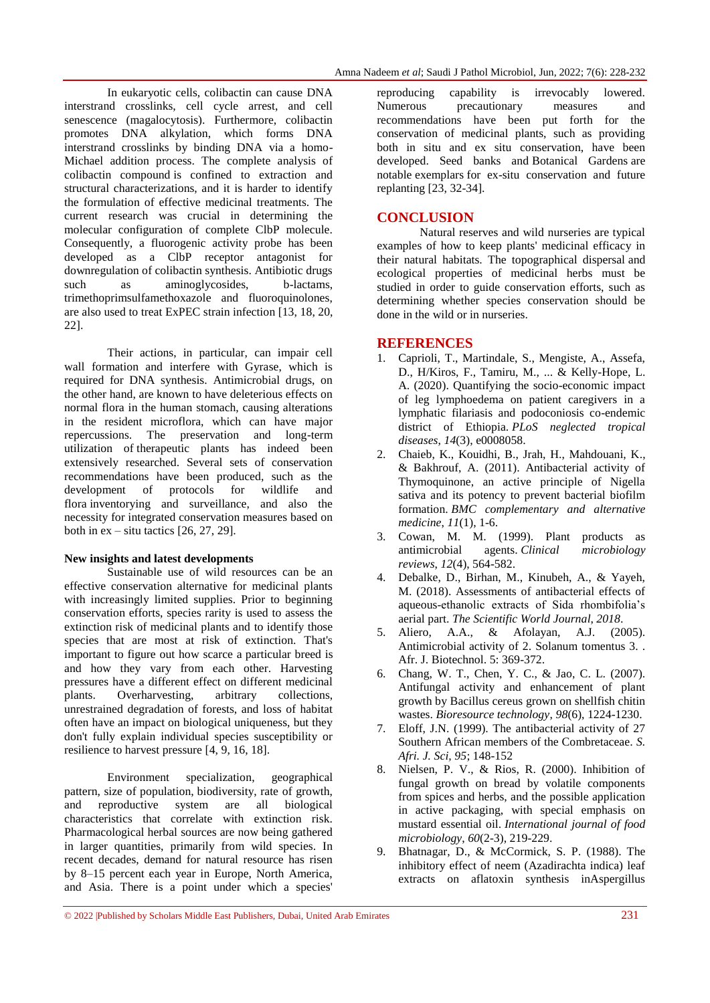In eukaryotic cells, colibactin can cause DNA interstrand crosslinks, cell cycle arrest, and cell senescence (magalocytosis). Furthermore, colibactin promotes DNA alkylation, which forms DNA interstrand crosslinks by binding DNA via a homo-Michael addition process. The complete analysis of colibactin compound is confined to extraction and structural characterizations, and it is harder to identify the formulation of effective medicinal treatments. The current research was crucial in determining the molecular configuration of complete ClbP molecule. Consequently, a fluorogenic activity probe has been developed as a ClbP receptor antagonist for downregulation of colibactin synthesis. Antibiotic drugs such as aminoglycosides, b-lactams, trimethoprimsulfamethoxazole and fluoroquinolones, are also used to treat ExPEC strain infection [13, 18, 20, 22].

Their actions, in particular, can impair cell wall formation and interfere with Gyrase, which is required for DNA synthesis. Antimicrobial drugs, on the other hand, are known to have deleterious effects on normal flora in the human stomach, causing alterations in the resident microflora, which can have major repercussions. The preservation and long-term utilization of therapeutic plants has indeed been extensively researched. Several sets of conservation recommendations have been produced, such as the development of protocols for wildlife and flora inventorying and surveillance, and also the necessity for integrated conservation measures based on both in  $ex - situ$  tactics  $[26, 27, 29]$ .

#### **New insights and latest developments**

Sustainable use of wild resources can be an effective conservation alternative for medicinal plants with increasingly limited supplies. Prior to beginning conservation efforts, species rarity is used to assess the extinction risk of medicinal plants and to identify those species that are most at risk of extinction. That's important to figure out how scarce a particular breed is and how they vary from each other. Harvesting pressures have a different effect on different medicinal plants. Overharvesting, arbitrary collections, unrestrained degradation of forests, and loss of habitat often have an impact on biological uniqueness, but they don't fully explain individual species susceptibility or resilience to harvest pressure [4, 9, 16, 18].

Environment specialization, geographical pattern, size of population, biodiversity, rate of growth, and reproductive system are all biological characteristics that correlate with extinction risk. Pharmacological herbal sources are now being gathered in larger quantities, primarily from wild species. In recent decades, demand for natural resource has risen by 8–15 percent each year in Europe, North America, and Asia. There is a point under which a species'

reproducing capability is irrevocably lowered. Numerous precautionary measures and recommendations have been put forth for the conservation of medicinal plants, such as providing both in situ and ex situ conservation, have been developed. Seed banks and Botanical Gardens are notable exemplars for ex-situ conservation and future replanting [23, 32-34].

### **CONCLUSION**

Natural reserves and wild nurseries are typical examples of how to keep plants' medicinal efficacy in their natural habitats. The topographical dispersal and ecological properties of medicinal herbs must be studied in order to guide conservation efforts, such as determining whether species conservation should be done in the wild or in nurseries.

#### **REFERENCES**

- 1. Caprioli, T., Martindale, S., Mengiste, A., Assefa, D., H/Kiros, F., Tamiru, M., ... & Kelly-Hope, L. A. (2020). Quantifying the socio-economic impact of leg lymphoedema on patient caregivers in a lymphatic filariasis and podoconiosis co-endemic district of Ethiopia. *PLoS neglected tropical diseases*, *14*(3), e0008058.
- 2. Chaieb, K., Kouidhi, B., Jrah, H., Mahdouani, K., & Bakhrouf, A. (2011). Antibacterial activity of Thymoquinone, an active principle of Nigella sativa and its potency to prevent bacterial biofilm formation. *BMC complementary and alternative medicine*, *11*(1), 1-6.
- 3. Cowan, M. M. (1999). Plant products as antimicrobial agents. *Clinical microbiology reviews*, *12*(4), 564-582.
- 4. Debalke, D., Birhan, M., Kinubeh, A., & Yayeh, M. (2018). Assessments of antibacterial effects of aqueous-ethanolic extracts of Sida rhombifolia's aerial part. *The Scientific World Journal*, *2018*.
- 5. Aliero, A.A., & Afolayan, A.J. (2005). Antimicrobial activity of 2. Solanum tomentus 3. . Afr. J. Biotechnol. 5: 369-372.
- 6. Chang, W. T., Chen, Y. C., & Jao, C. L. (2007). Antifungal activity and enhancement of plant growth by Bacillus cereus grown on shellfish chitin wastes. *Bioresource technology*, *98*(6), 1224-1230.
- 7. Eloff, J.N. (1999). The antibacterial activity of 27 Southern African members of the Combretaceae. *S. Afri. J. Sci, 95*; 148-152
- 8. Nielsen, P. V., & Rios, R. (2000). Inhibition of fungal growth on bread by volatile components from spices and herbs, and the possible application in active packaging, with special emphasis on mustard essential oil. *International journal of food microbiology*, *60*(2-3), 219-229.
- 9. Bhatnagar, D., & McCormick, S. P. (1988). The inhibitory effect of neem (Azadirachta indica) leaf extracts on aflatoxin synthesis inAspergillus